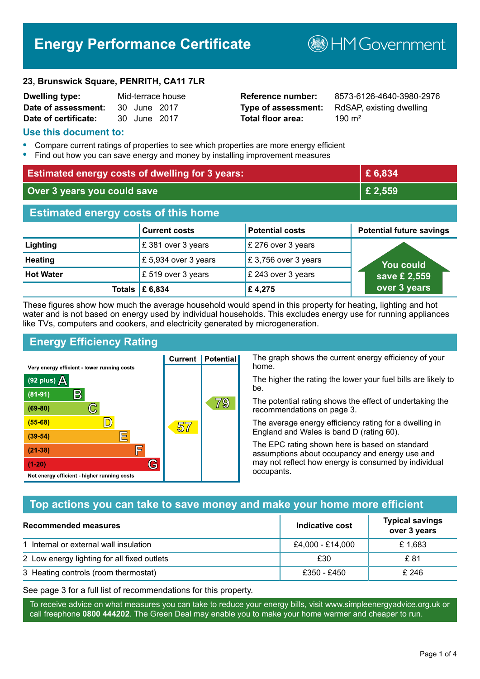# **Energy Performance Certificate**

**B**HM Government

#### **23, Brunswick Square, PENRITH, CA11 7LR**

| <b>Dwelling type:</b> |              | Mid-terrace house |
|-----------------------|--------------|-------------------|
| Date of assessment:   | 30 June 2017 |                   |
| Date of certificate:  | 30 June 2017 |                   |

# **Total floor area:** 390 m<sup>2</sup>

**Reference number:** 8573-6126-4640-3980-2976 **Type of assessment:** RdSAP, existing dwelling

#### **Use this document to:**

- **•** Compare current ratings of properties to see which properties are more energy efficient
- **•** Find out how you can save energy and money by installing improvement measures

| <b>Estimated energy costs of dwelling for 3 years:</b> |                                         | £ 6,834                |                                 |
|--------------------------------------------------------|-----------------------------------------|------------------------|---------------------------------|
| Over 3 years you could save                            |                                         | £ 2,559                |                                 |
| <b>Estimated energy costs of this home</b>             |                                         |                        |                                 |
|                                                        | <b>Current costs</b>                    | <b>Potential costs</b> | <b>Potential future savings</b> |
| Lighting                                               | £381 over 3 years                       | £ 276 over 3 years     |                                 |
| <b>Heating</b>                                         | £ 5,934 over 3 years                    | £3,756 over 3 years    | <b>You could</b>                |
| <b>Hot Water</b>                                       | £ 519 over 3 years                      | £ 243 over 3 years     | save £ 2,559                    |
|                                                        | Totals $\mathbf \mathbf \epsilon$ 6,834 | £4,275                 | over 3 years                    |

These figures show how much the average household would spend in this property for heating, lighting and hot water and is not based on energy used by individual households. This excludes energy use for running appliances like TVs, computers and cookers, and electricity generated by microgeneration.

**Current | Potential** 

57

# **Energy Efficiency Rating**

 $\mathbb{C}$ 

 $\overline{\mathbb{D}}$ 

E

庐

G

Very energy efficient - lower running costs

 $\mathsf{R}% _{T}$ 

Not energy efficient - higher running costs

 $(92$  plus)

 $(81 - 91)$ 

 $(69 - 80)$ 

 $(55-68)$ 

 $(39 - 54)$ 

 $(21-38)$ 

 $(1-20)$ 

- 70

The graph shows the current energy efficiency of your home.

The higher the rating the lower your fuel bills are likely to be.

The potential rating shows the effect of undertaking the recommendations on page 3.

The average energy efficiency rating for a dwelling in England and Wales is band D (rating 60).

The EPC rating shown here is based on standard assumptions about occupancy and energy use and may not reflect how energy is consumed by individual occupants.

## **Top actions you can take to save money and make your home more efficient**

79

| Recommended measures                        | Indicative cost  | <b>Typical savings</b><br>over 3 years |
|---------------------------------------------|------------------|----------------------------------------|
| 1 Internal or external wall insulation      | £4,000 - £14,000 | £1,683                                 |
| 2 Low energy lighting for all fixed outlets | £30              | £ 81                                   |
| 3 Heating controls (room thermostat)        | £350 - £450      | £ 246                                  |

See page 3 for a full list of recommendations for this property.

To receive advice on what measures you can take to reduce your energy bills, visit www.simpleenergyadvice.org.uk or call freephone **0800 444202**. The Green Deal may enable you to make your home warmer and cheaper to run.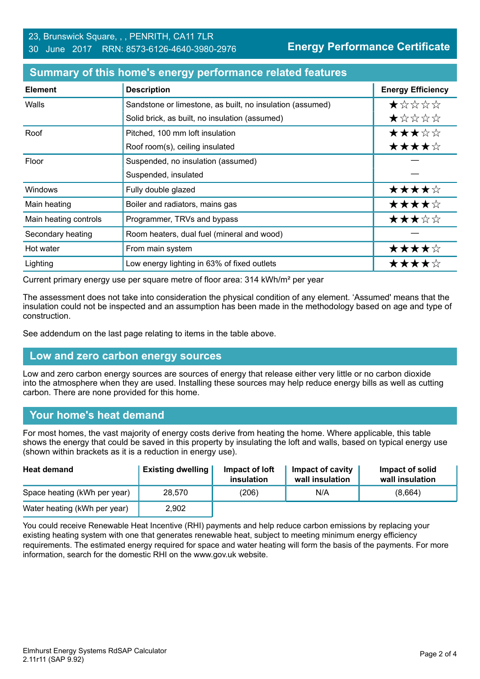**Energy Performance Certificate**

| <b>Element</b>        | <b>Description</b>                                        | <b>Energy Efficiency</b> |
|-----------------------|-----------------------------------------------------------|--------------------------|
| Walls                 | Sandstone or limestone, as built, no insulation (assumed) | $\star$ * * * *          |
|                       | Solid brick, as built, no insulation (assumed)            | *****                    |
| Roof                  | Pitched, 100 mm loft insulation                           | ★★★☆☆                    |
|                       | Roof room(s), ceiling insulated                           | ★★★★☆                    |
| Floor                 | Suspended, no insulation (assumed)                        |                          |
|                       | Suspended, insulated                                      |                          |
| Windows               | Fully double glazed                                       | ★★★★☆                    |
| Main heating          | Boiler and radiators, mains gas                           | ★★★★☆                    |
| Main heating controls | Programmer, TRVs and bypass                               | ★★★☆☆                    |
| Secondary heating     | Room heaters, dual fuel (mineral and wood)                |                          |
| Hot water             | From main system                                          | ★★★★☆                    |
| Lighting              | Low energy lighting in 63% of fixed outlets               | ★★★★☆                    |

#### **Summary of this home's energy performance related features**

Current primary energy use per square metre of floor area: 314 kWh/m² per year

The assessment does not take into consideration the physical condition of any element. 'Assumed' means that the insulation could not be inspected and an assumption has been made in the methodology based on age and type of construction.

See addendum on the last page relating to items in the table above.

#### **Low and zero carbon energy sources**

Low and zero carbon energy sources are sources of energy that release either very little or no carbon dioxide into the atmosphere when they are used. Installing these sources may help reduce energy bills as well as cutting carbon. There are none provided for this home.

#### **Your home's heat demand**

For most homes, the vast majority of energy costs derive from heating the home. Where applicable, this table shows the energy that could be saved in this property by insulating the loft and walls, based on typical energy use (shown within brackets as it is a reduction in energy use).

| <b>Heat demand</b>           | <b>Existing dwelling</b> | Impact of loft<br>insulation | Impact of cavity<br>wall insulation | Impact of solid<br>wall insulation |
|------------------------------|--------------------------|------------------------------|-------------------------------------|------------------------------------|
| Space heating (kWh per year) | 28.570                   | (206)                        | N/A                                 | (8,664)                            |
| Water heating (kWh per year) | 2,902                    |                              |                                     |                                    |

You could receive Renewable Heat Incentive (RHI) payments and help reduce carbon emissions by replacing your existing heating system with one that generates renewable heat, subject to meeting minimum energy efficiency requirements. The estimated energy required for space and water heating will form the basis of the payments. For more information, search for the domestic RHI on the www.gov.uk website.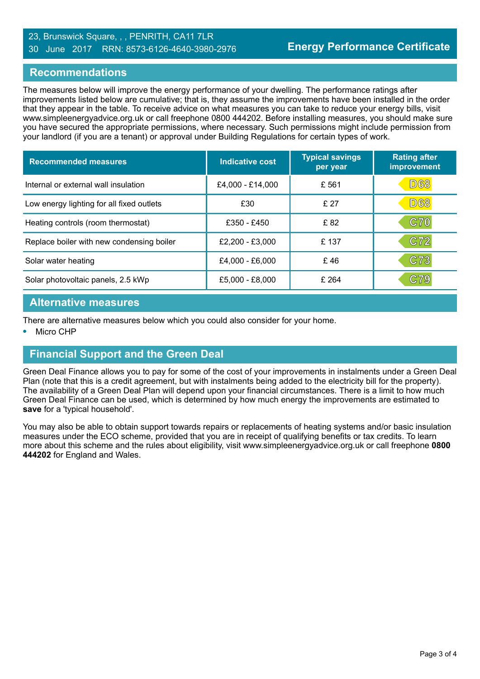#### 23, Brunswick Square, , , PENRITH, CA11 7LR 30 June 2017 RRN: 8573-6126-4640-3980-2976

#### **Recommendations**

The measures below will improve the energy performance of your dwelling. The performance ratings after improvements listed below are cumulative; that is, they assume the improvements have been installed in the order that they appear in the table. To receive advice on what measures you can take to reduce your energy bills, visit www.simpleenergyadvice.org.uk or call freephone 0800 444202. Before installing measures, you should make sure you have secured the appropriate permissions, where necessary. Such permissions might include permission from your landlord (if you are a tenant) or approval under Building Regulations for certain types of work.

| <b>Recommended measures</b>               | Indicative cost   | <b>Typical savings</b><br>per year | <b>Rating after</b><br>improvement |
|-------------------------------------------|-------------------|------------------------------------|------------------------------------|
| Internal or external wall insulation      | £4,000 - £14,000  | £ 561                              | <b>D68</b>                         |
| Low energy lighting for all fixed outlets | £30               | £27                                | <b>D68</b>                         |
| Heating controls (room thermostat)        | £350 - £450       | £82                                | <b>C70</b>                         |
| Replace boiler with new condensing boiler | $£2,200 - £3,000$ | £137                               | C72                                |
| Solar water heating                       | £4,000 - £6,000   | £46                                | C73                                |
| Solar photovoltaic panels, 2.5 kWp        | £5,000 - £8,000   | £264                               | $\mathbb C79$                      |

#### **Alternative measures**

There are alternative measures below which you could also consider for your home.

**•** Micro CHP

#### **Financial Support and the Green Deal**

Green Deal Finance allows you to pay for some of the cost of your improvements in instalments under a Green Deal Plan (note that this is a credit agreement, but with instalments being added to the electricity bill for the property). The availability of a Green Deal Plan will depend upon your financial circumstances. There is a limit to how much Green Deal Finance can be used, which is determined by how much energy the improvements are estimated to **save** for a 'typical household'.

You may also be able to obtain support towards repairs or replacements of heating systems and/or basic insulation measures under the ECO scheme, provided that you are in receipt of qualifying benefits or tax credits. To learn more about this scheme and the rules about eligibility, visit www.simpleenergyadvice.org.uk or call freephone **0800 444202** for England and Wales.